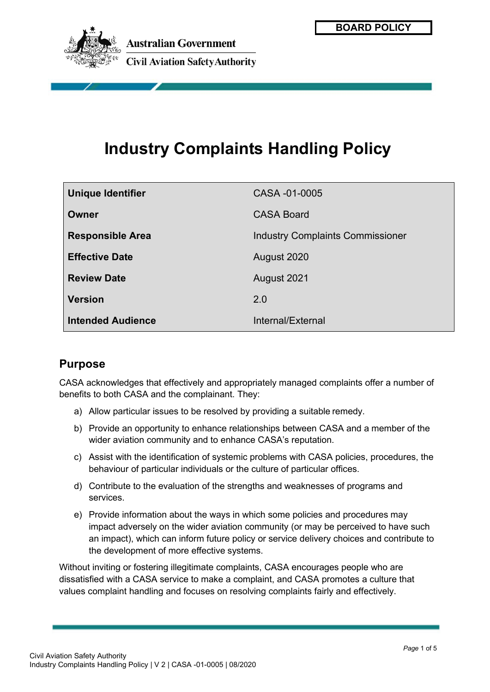

# **Industry Complaints Handling Policy**

| <b>Unique Identifier</b> | CASA -01-0005                           |
|--------------------------|-----------------------------------------|
| Owner                    | <b>CASA Board</b>                       |
| <b>Responsible Area</b>  | <b>Industry Complaints Commissioner</b> |
| <b>Effective Date</b>    | August 2020                             |
| <b>Review Date</b>       | August 2021                             |
| <b>Version</b>           | 2.0                                     |
| <b>Intended Audience</b> | Internal/External                       |

## **Purpose**

CASA acknowledges that effectively and appropriately managed complaints offer a number of benefits to both CASA and the complainant. They:

- a) Allow particular issues to be resolved by providing a suitable remedy.
- b) Provide an opportunity to enhance relationships between CASA and a member of the wider aviation community and to enhance CASA's reputation.
- c) Assist with the identification of systemic problems with CASA policies, procedures, the behaviour of particular individuals or the culture of particular offices.
- d) Contribute to the evaluation of the strengths and weaknesses of programs and services.
- e) Provide information about the ways in which some policies and procedures may impact adversely on the wider aviation community (or may be perceived to have such an impact), which can inform future policy or service delivery choices and contribute to the development of more effective systems.

Without inviting or fostering illegitimate complaints, CASA encourages people who are dissatisfied with a CASA service to make a complaint, and CASA promotes a culture that values complaint handling and focuses on resolving complaints fairly and effectively.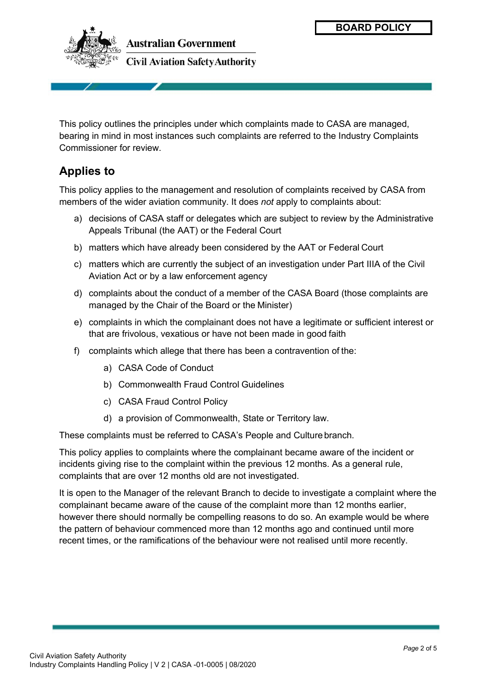

This policy outlines the principles under which complaints made to CASA are managed, bearing in mind in most instances such complaints are referred to the Industry Complaints Commissioner for review.

## **Applies to**

This policy applies to the management and resolution of complaints received by CASA from members of the wider aviation community. It does *not* apply to complaints about:

- a) decisions of CASA staff or delegates which are subject to review by the Administrative Appeals Tribunal (the AAT) or the Federal Court
- b) matters which have already been considered by the AAT or Federal Court
- c) matters which are currently the subject of an investigation under Part IIIA of the Civil Aviation Act or by a law enforcement agency
- d) complaints about the conduct of a member of the CASA Board (those complaints are managed by the Chair of the Board or the Minister)
- e) complaints in which the complainant does not have a legitimate or sufficient interest or that are frivolous, vexatious or have not been made in good faith
- f) complaints which allege that there has been a contravention of the:
	- a) CASA Code of Conduct
	- b) Commonwealth Fraud Control Guidelines
	- c) CASA Fraud Control Policy
	- d) a provision of Commonwealth, State or Territory law.

These complaints must be referred to CASA's People and Culture branch.

This policy applies to complaints where the complainant became aware of the incident or incidents giving rise to the complaint within the previous 12 months. As a general rule, complaints that are over 12 months old are not investigated.

It is open to the Manager of the relevant Branch to decide to investigate a complaint where the complainant became aware of the cause of the complaint more than 12 months earlier, however there should normally be compelling reasons to do so. An example would be where the pattern of behaviour commenced more than 12 months ago and continued until more recent times, or the ramifications of the behaviour were not realised until more recently.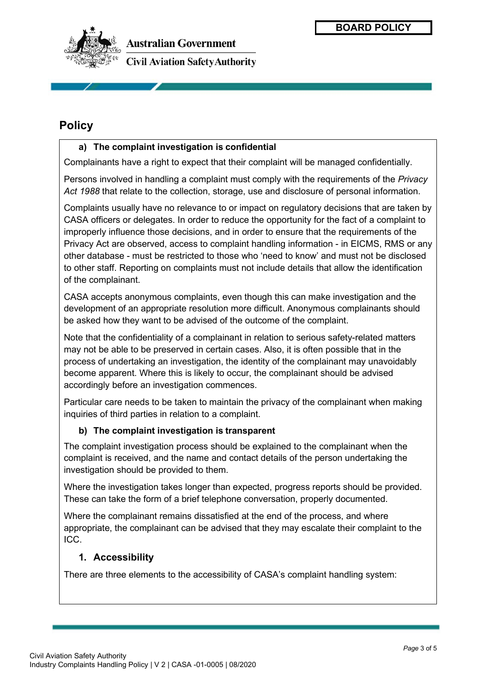

**Australian Government Civil Aviation Safety Authority** 

## **Policy**

#### **a) The complaint investigation is confidential**

Complainants have a right to expect that their complaint will be managed confidentially.

Persons involved in handling a complaint must comply with the requirements of the *Privacy Act 1988* that relate to the collection, storage, use and disclosure of personal information.

Complaints usually have no relevance to or impact on regulatory decisions that are taken by CASA officers or delegates. In order to reduce the opportunity for the fact of a complaint to improperly influence those decisions, and in order to ensure that the requirements of the Privacy Act are observed, access to complaint handling information - in EICMS, RMS or any other database - must be restricted to those who 'need to know' and must not be disclosed to other staff. Reporting on complaints must not include details that allow the identification of the complainant.

CASA accepts anonymous complaints, even though this can make investigation and the development of an appropriate resolution more difficult. Anonymous complainants should be asked how they want to be advised of the outcome of the complaint.

Note that the confidentiality of a complainant in relation to serious safety-related matters may not be able to be preserved in certain cases. Also, it is often possible that in the process of undertaking an investigation, the identity of the complainant may unavoidably become apparent. Where this is likely to occur, the complainant should be advised accordingly before an investigation commences.

Particular care needs to be taken to maintain the privacy of the complainant when making inquiries of third parties in relation to a complaint.

#### **b) The complaint investigation is transparent**

The complaint investigation process should be explained to the complainant when the complaint is received, and the name and contact details of the person undertaking the investigation should be provided to them.

Where the investigation takes longer than expected, progress reports should be provided. These can take the form of a brief telephone conversation, properly documented.

Where the complainant remains dissatisfied at the end of the process, and where appropriate, the complainant can be advised that they may escalate their complaint to the ICC.

#### **1. Accessibility**

There are three elements to the accessibility of CASA's complaint handling system: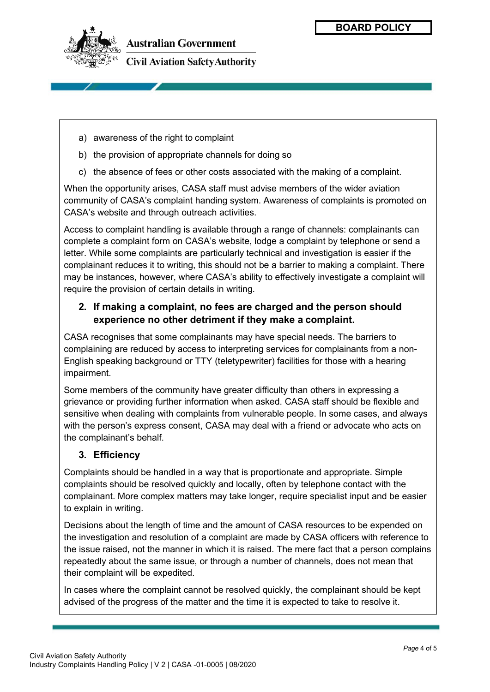

**Australian Government Civil Aviation Safety Authority** 

- a) awareness of the right to complaint
- b) the provision of appropriate channels for doing so
- c) the absence of fees or other costs associated with the making of a complaint.

When the opportunity arises, CASA staff must advise members of the wider aviation community of CASA's complaint handing system. Awareness of complaints is promoted on CASA's website and through outreach activities.

Access to complaint handling is available through a range of channels: complainants can complete a complaint form on CASA's website, lodge a complaint by telephone or send a letter. While some complaints are particularly technical and investigation is easier if the complainant reduces it to writing, this should not be a barrier to making a complaint. There may be instances, however, where CASA's ability to effectively investigate a complaint will require the provision of certain details in writing.

#### **2. If making a complaint, no fees are charged and the person should experience no other detriment if they make a complaint.**

CASA recognises that some complainants may have special needs. The barriers to complaining are reduced by access to interpreting services for complainants from a non-English speaking background or TTY (teletypewriter) facilities for those with a hearing impairment.

Some members of the community have greater difficulty than others in expressing a grievance or providing further information when asked. CASA staff should be flexible and sensitive when dealing with complaints from vulnerable people. In some cases, and always with the person's express consent, CASA may deal with a friend or advocate who acts on the complainant's behalf.

#### **3. Efficiency**

Complaints should be handled in a way that is proportionate and appropriate. Simple complaints should be resolved quickly and locally, often by telephone contact with the complainant. More complex matters may take longer, require specialist input and be easier to explain in writing.

Decisions about the length of time and the amount of CASA resources to be expended on the investigation and resolution of a complaint are made by CASA officers with reference to the issue raised, not the manner in which it is raised. The mere fact that a person complains repeatedly about the same issue, or through a number of channels, does not mean that their complaint will be expedited.

In cases where the complaint cannot be resolved quickly, the complainant should be kept advised of the progress of the matter and the time it is expected to take to resolve it.